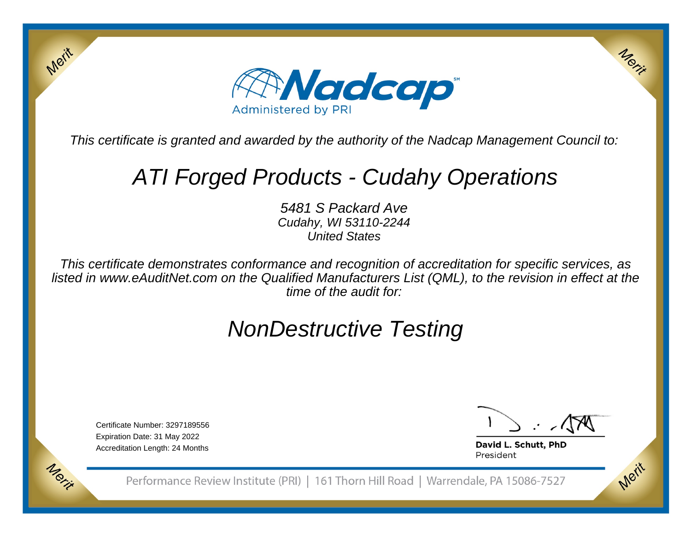

This certificate is granted and awarded by the authority of the Nadcap Management Council to:

# ATI Forged Products - Cudahy Operations

5481 S Packard Ave Cudahy, WI 53110-2244United States

This certificate demonstrates conformance and recognition of accreditation for specific services, as listed in www.eAuditNet.com on the Qualified Manufacturers List (QML), to the revision in effect at thetime of the audit for:

## NonDestructive Testing

Certificate Number: 3297189556Expiration Date: 31 May 2022Accreditation Length: 24 Months

Merit

Morie

Merix

Merit

David L. Schutt, PhD President

Performance Review Institute (PRI) | 161 Thorn Hill Road | Warrendale, PA 15086-7527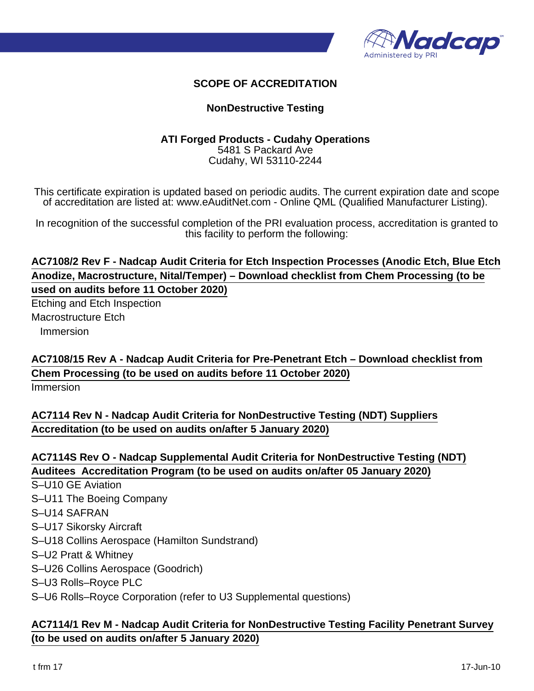

### **SCOPE OF ACCREDITATION**

#### **NonDestructive Testing**

#### **ATI Forged Products - Cudahy Operations** 5481 S Packard Ave Cudahy, WI 53110-2244

This certificate expiration is updated based on periodic audits. The current expiration date and scope of accreditation are listed at: www.eAuditNet.com - Online QML (Qualified Manufacturer Listing).

In recognition of the successful completion of the PRI evaluation process, accreditation is granted to this facility to perform the following:

## **AC7108/2 Rev F - Nadcap Audit Criteria for Etch Inspection Processes (Anodic Etch, Blue Etch Anodize, Macrostructure, Nital/Temper) – Download checklist from Chem Processing (to be used on audits before 11 October 2020)**

Etching and Etch Inspection Macrostructure Etch Immersion

**AC7108/15 Rev A - Nadcap Audit Criteria for Pre-Penetrant Etch – Download checklist from Chem Processing (to be used on audits before 11 October 2020)**

Immersion

**AC7114 Rev N - Nadcap Audit Criteria for NonDestructive Testing (NDT) Suppliers Accreditation (to be used on audits on/after 5 January 2020)**

#### **AC7114S Rev O - Nadcap Supplemental Audit Criteria for NonDestructive Testing (NDT) Auditees Accreditation Program (to be used on audits on/after 05 January 2020)**

S–U10 GE Aviation S–U11 The Boeing Company S–U14 SAFRAN S–U17 Sikorsky Aircraft S–U18 Collins Aerospace (Hamilton Sundstrand) S–U2 Pratt & Whitney S–U26 Collins Aerospace (Goodrich) S–U3 Rolls–Royce PLC S–U6 Rolls–Royce Corporation (refer to U3 Supplemental questions)

#### **AC7114/1 Rev M - Nadcap Audit Criteria for NonDestructive Testing Facility Penetrant Survey (to be used on audits on/after 5 January 2020)**